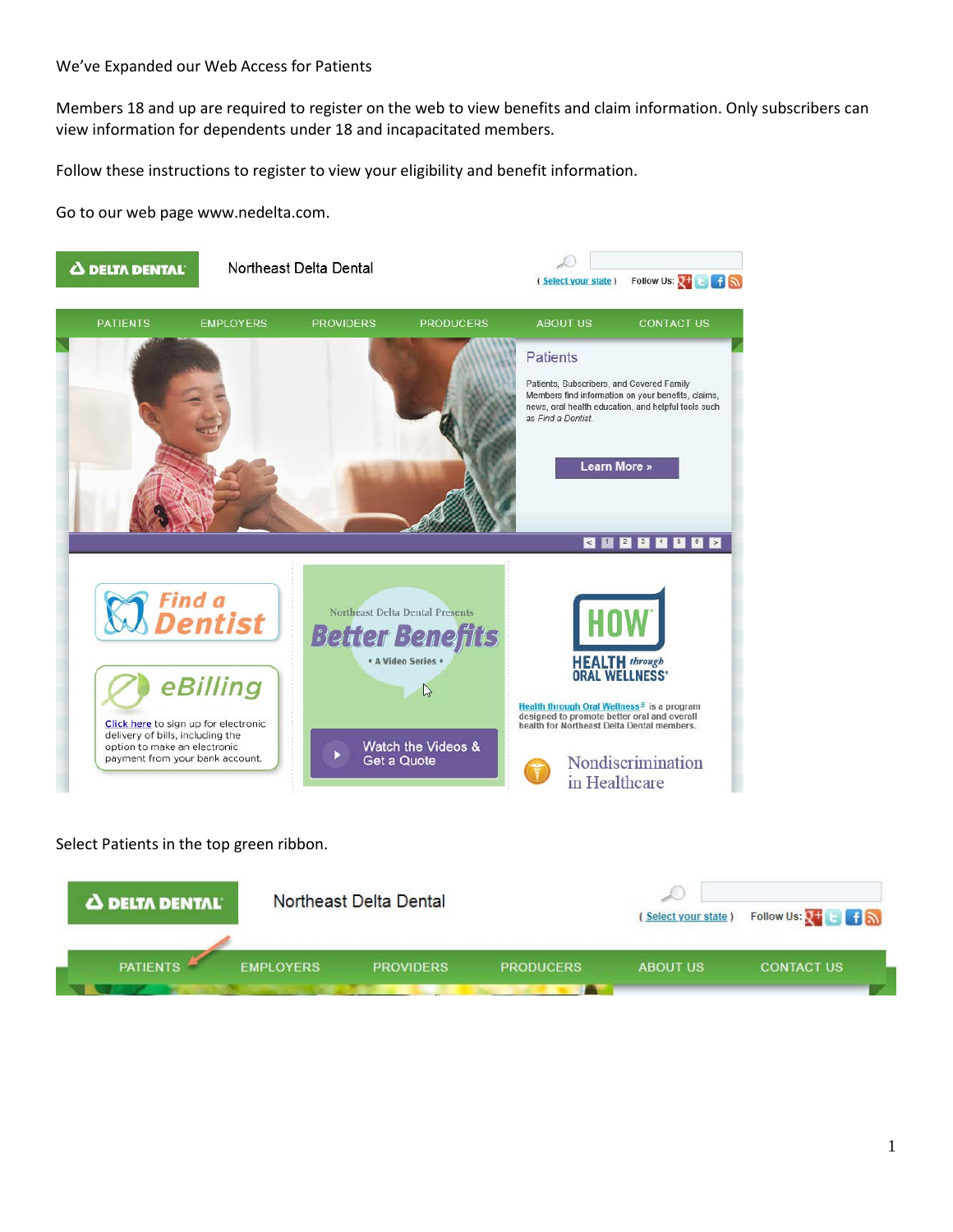Members 18 and up are required to register on the web to view benefits and claim information. Only subscribers can view information for dependents under 18 and incapacitated members.

Follow these instructions to register to view your eligibility and benefit information.

Go to our web page www.nedelta.com.



Select Patients in the top green ribbon.

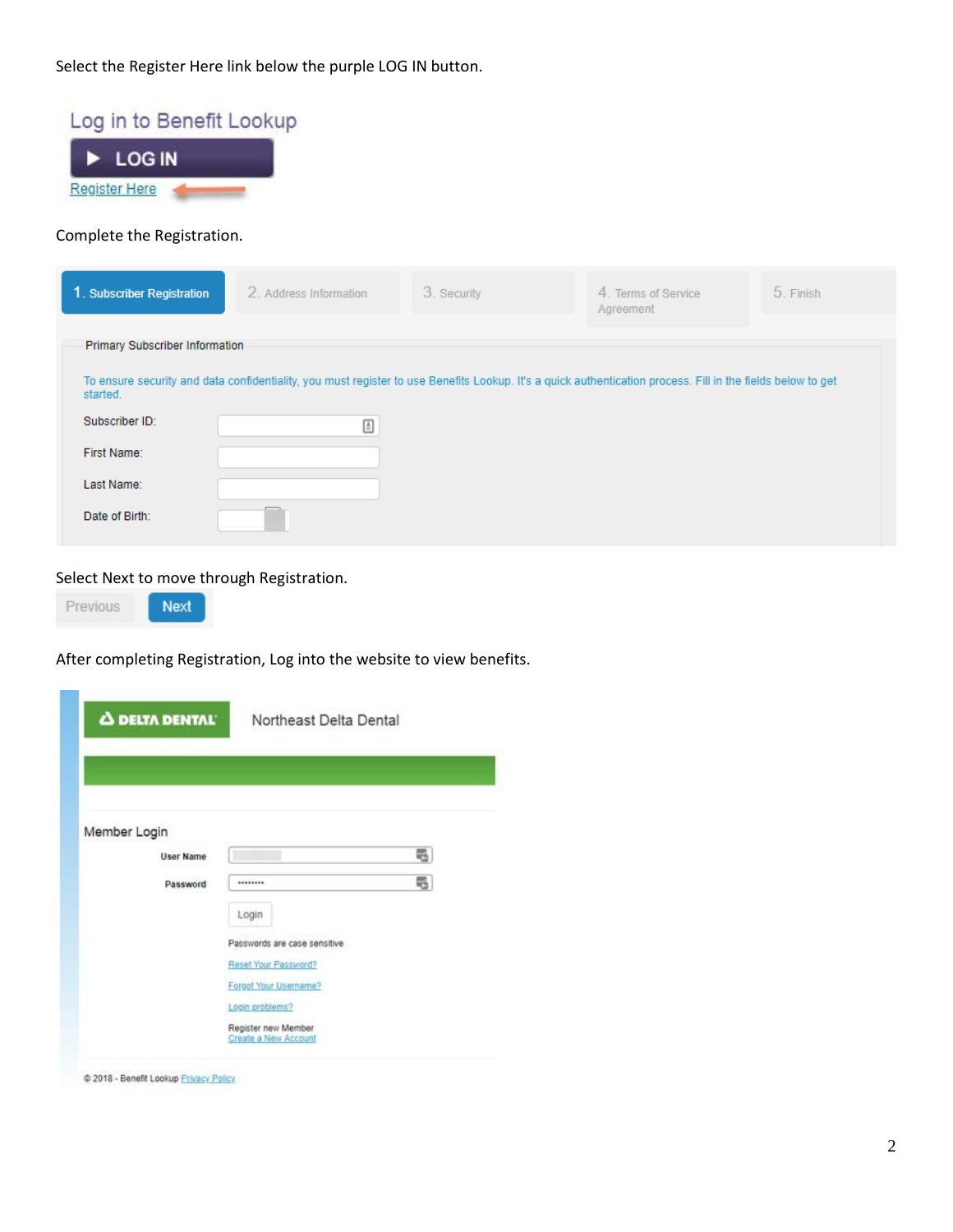Select the Register Here link below the purple LOG IN button.

| Log in to Benefit Lookup<br><b>LOG IN</b> |                                                                                                                                                             |             |                                  |           |
|-------------------------------------------|-------------------------------------------------------------------------------------------------------------------------------------------------------------|-------------|----------------------------------|-----------|
| <b>Register Here</b>                      |                                                                                                                                                             |             |                                  |           |
| Complete the Registration.                |                                                                                                                                                             |             |                                  |           |
| 1. Subscriber Registration                | 2. Address Information                                                                                                                                      | 3. Security | 4. Terms of Service<br>Agreement | 5. Finish |
| Primary Subscriber Information            |                                                                                                                                                             |             |                                  |           |
| started.                                  | To ensure security and data confidentiality, you must register to use Benefits Lookup. It's a quick authentication process. Fill in the fields below to get |             |                                  |           |
| Subscriber ID:                            | $\stackrel{\scriptscriptstyle\pm}{=}$                                                                                                                       |             |                                  |           |
| First Name:                               |                                                                                                                                                             |             |                                  |           |
| Last Name:                                |                                                                                                                                                             |             |                                  |           |
| Date of Birth:                            |                                                                                                                                                             |             |                                  |           |

Select Next to move through Registration.

Next

Previous

After completing Registration, Log into the website to view benefits.

| Member Login     |                              |   |
|------------------|------------------------------|---|
| <b>User Name</b> |                              | 羁 |
| Password         | ********                     | ₩ |
|                  |                              |   |
|                  | Login                        |   |
|                  | Passwords are case sensitive |   |
|                  | Reset Your Password?         |   |
|                  | Forgot Your Username?        |   |
|                  | Login problems?              |   |
|                  | Register new Member          |   |